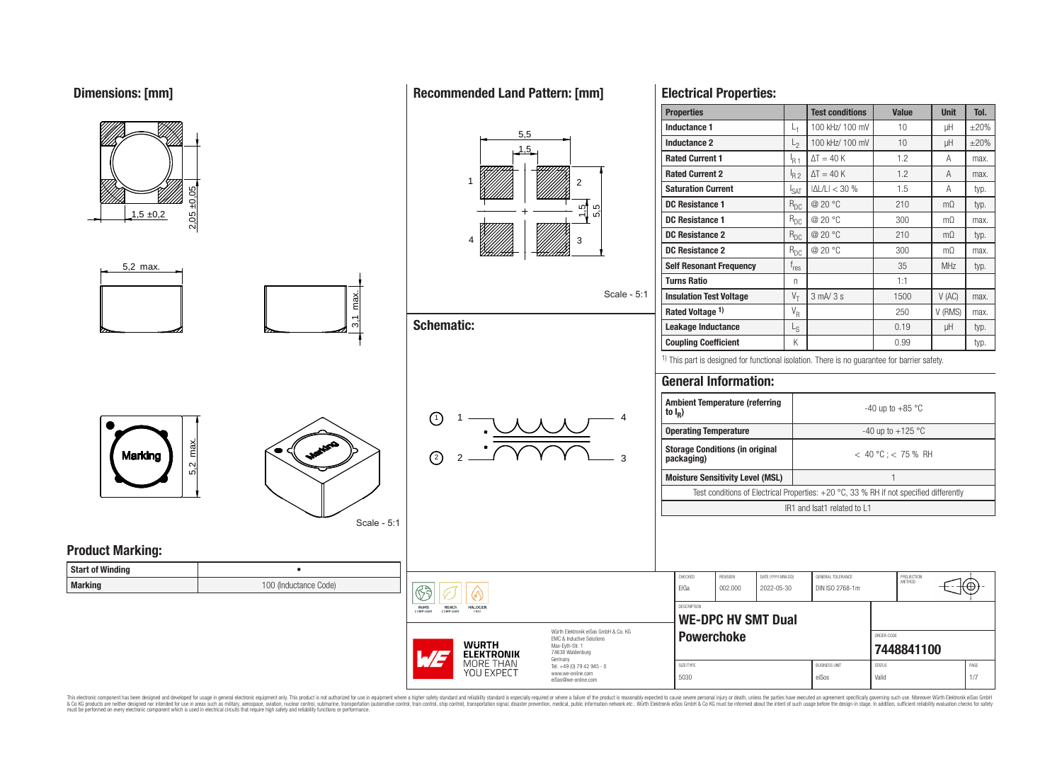**Dimensions: [mm]**



This electronic component has been designed and developed for usage in general electronic equipment only. This product is not authorized for use in equipment where a higher safety standard and reliability standard is espec & Ook product a label and the membed of the seasuch as marked and as which such a membed and the such assume that income in the seasuch and the simulation and the such assume that include to the such a membed and the such

# **Recommended Land Pattern: [mm]**

**Electrical Properties:**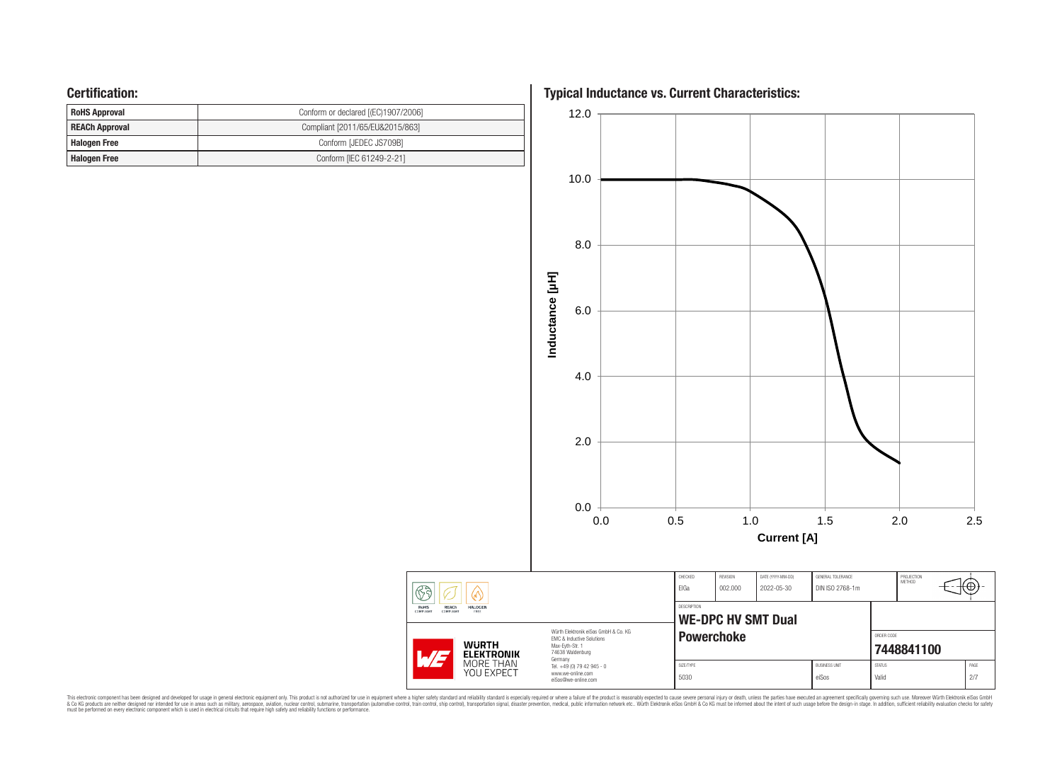## **Certification:**

| <b>RoHS Approval</b>  | Conform or declared [(EC)1907/2006] |  |  |  |  |  |
|-----------------------|-------------------------------------|--|--|--|--|--|
| <b>REACh Approval</b> | Compliant [2011/65/EU&2015/863]     |  |  |  |  |  |
| <b>Halogen Free</b>   | Conform [JEDEC JS709B]              |  |  |  |  |  |
| <b>Halogen Free</b>   | Conform [IEC 61249-2-21]            |  |  |  |  |  |

**Typical Inductance vs. Current Characteristics:**



This electronic component has been designed and developed for usage in general electronic equipment only. This product is not authorized for subserved requipment where a higher selection equipment where a higher selection

 $\circled{6}$ 

RoHS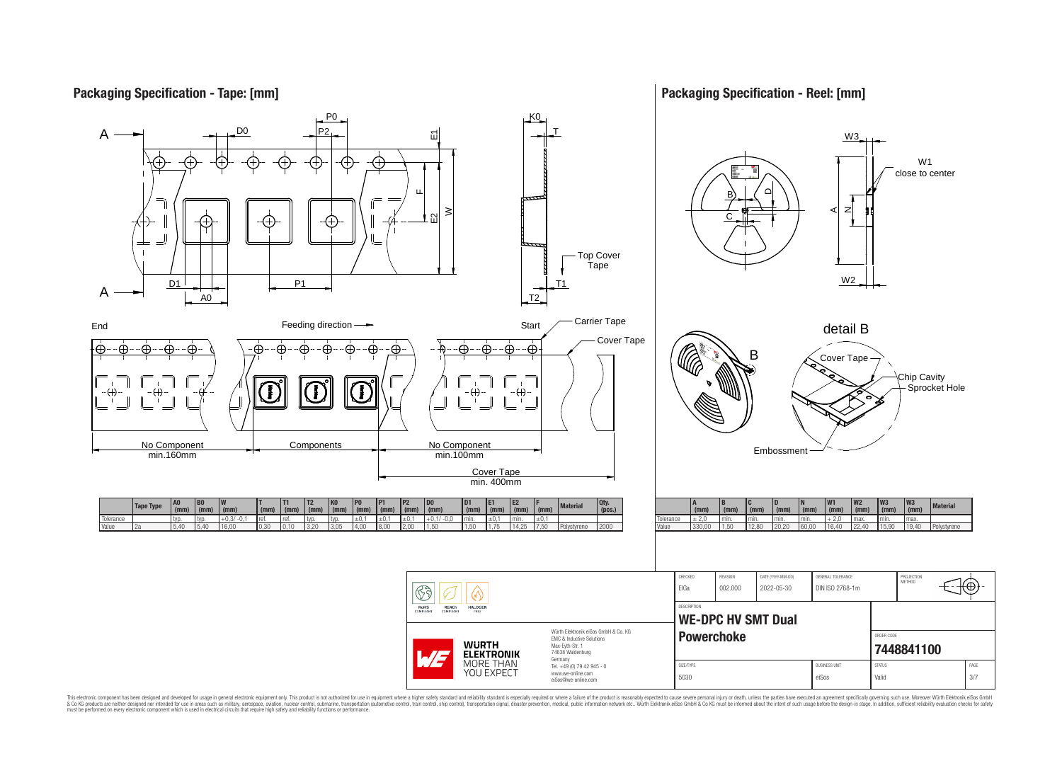## **Packaging Specification - Tape: [mm]**

## **Packaging Specification - Reel: [mm]**



This electronic component has been designed and developed for usage in general electronic equipment only. This product is not authorized for use in equipment where a higher safely standard and reliability standard si espec & Ook product a label and the membed of the seasuch as marked and as which such a membed and the such assume that income in the seasuch and the simulation and the such assume that include to the such a membed and the such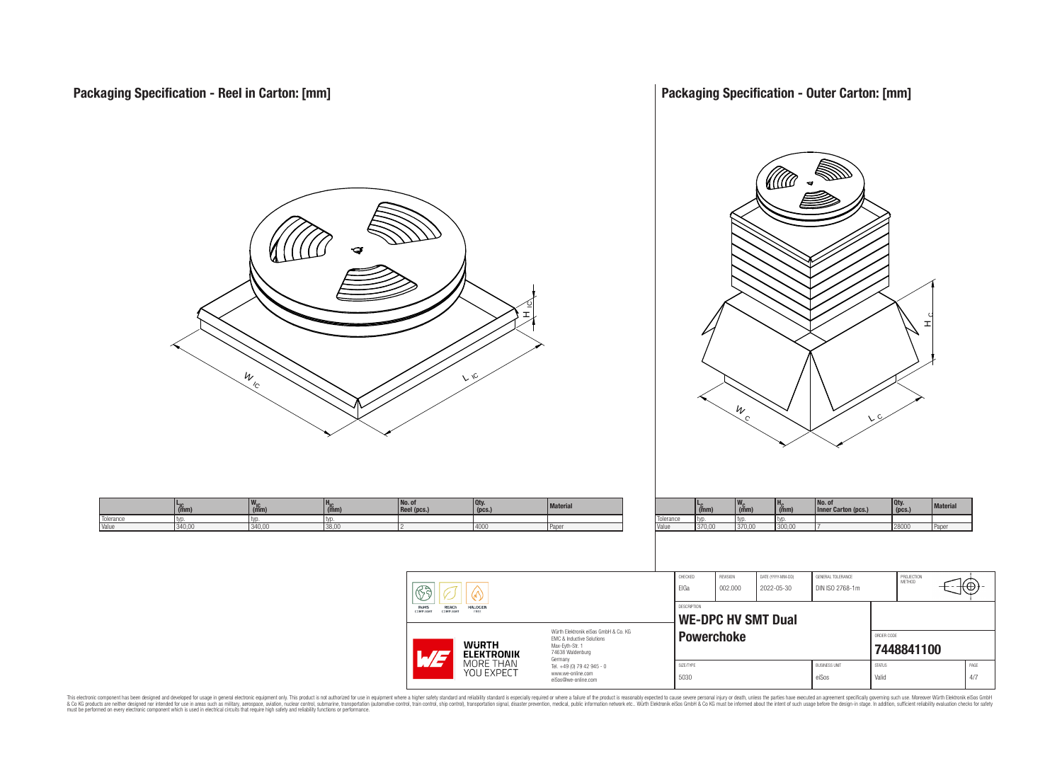**Packaging Specification - Outer Carton: [mm]**



This electronic component has been designed and developed for usage in general electronic equipment only. This product is not authorized for subserved requipment where a higher selection equipment where a higher selection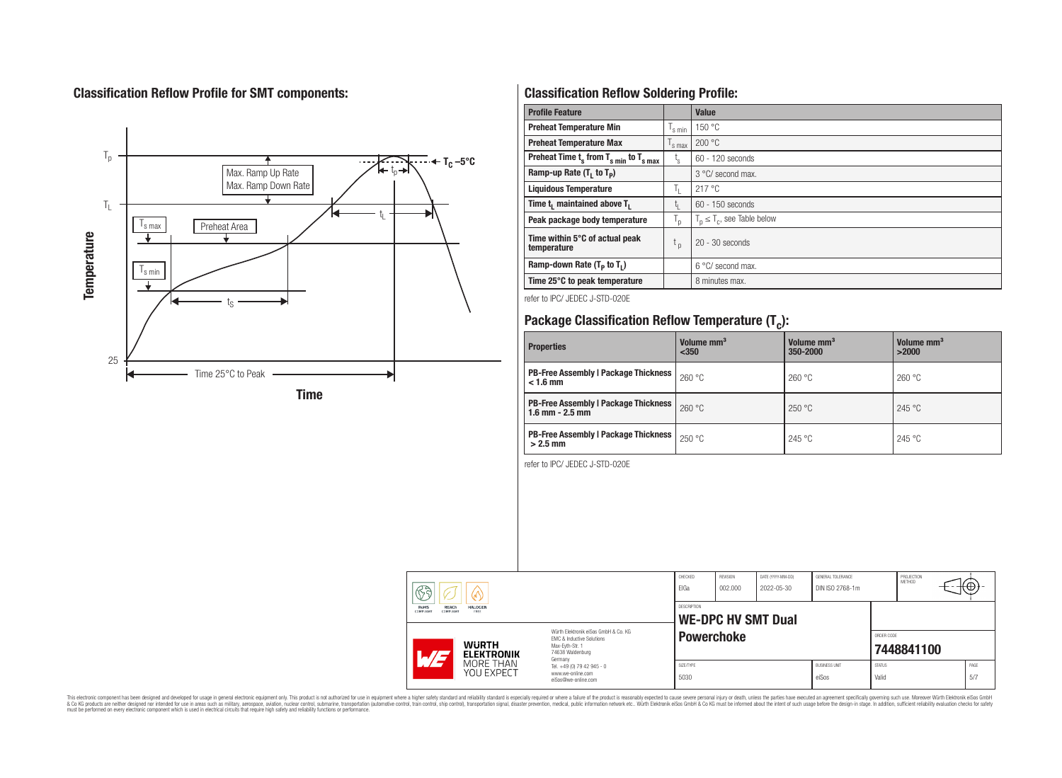# **Classification Reflow Profile for SMT components:**



# **Classification Reflow Soldering Profile:**

| <b>Profile Feature</b>                              |                           | <b>Value</b>                     |
|-----------------------------------------------------|---------------------------|----------------------------------|
| <b>Preheat Temperature Min</b>                      | s min                     | 150 °C                           |
| <b>Preheat Temperature Max</b>                      | <sup>I</sup> s max        | 200 °C                           |
| Preheat Time $t_s$ from $T_{s,min}$ to $T_{s,max}$  | $t_{\rm s}$               | $60 - 120$ seconds               |
| Ramp-up Rate $(T_1$ to $T_p$ )                      |                           | 3 °C/ second max.                |
| <b>Liquidous Temperature</b>                        | Ъ.                        | 217°C                            |
| Time t <sub>1</sub> maintained above T <sub>1</sub> | t,                        | $60 - 150$ seconds               |
| Peak package body temperature                       | $\mathsf{I}_{\mathsf{D}}$ | $T_p \leq T_c$ , see Table below |
| Time within 5°C of actual peak<br>temperature       | t <sub>p</sub>            | $20 - 30$ seconds                |
| Ramp-down Rate $(T_p$ to $T_1$ )                    |                           | 6 °C/ second max.                |
| Time 25°C to peak temperature                       |                           | 8 minutes max.                   |

refer to IPC/ JEDEC J-STD-020E

# **Package Classification Reflow Temperature (T<sup>c</sup> ):**

| <b>Properties</b>                                                    | Volume mm <sup>3</sup><br>< 350 | Volume mm <sup>3</sup><br>350-2000 | Volume mm <sup>3</sup><br>>2000 |  |
|----------------------------------------------------------------------|---------------------------------|------------------------------------|---------------------------------|--|
| <b>PB-Free Assembly   Package Thickness</b><br>$< 1.6$ mm            | 260 °C                          | 260 °C                             | 260 °C                          |  |
| <b>PB-Free Assembly   Package Thickness  </b><br>$1.6$ mm $- 2.5$ mm | 260 °C                          | 250 °C                             | 245 °C                          |  |
| <b>PB-Free Assembly   Package Thickness  </b><br>$>2.5$ mm           | 250 °C                          | 245 °C                             | 245 °C                          |  |

refer to IPC/ JEDEC J-STD-020E

| 77.                                                                                                        | <b>WURTH</b><br><b>ELEKTRONIK</b><br>MORE THAN<br><b>YOU EXPECT</b> | Max-Evth-Str. 1<br>74638 Waldenburg<br>Germany<br>Tel. +49 (0) 79 42 945 - 0<br>www.we-online.com<br>eiSos@we-online.com | SIZE/TYPE<br>5030          |                                 |                                      | <b>BUSINESS UNIT</b><br>eiSos | <b>STATUS</b><br>Valid | 7448841100 |     | PAGE<br>5/7 |
|------------------------------------------------------------------------------------------------------------|---------------------------------------------------------------------|--------------------------------------------------------------------------------------------------------------------------|----------------------------|---------------------------------|--------------------------------------|-------------------------------|------------------------|------------|-----|-------------|
| COMPLIANT<br><b>COMPLIANT</b><br>FREE<br>Würth Flektronik eiSos GmbH & Co. KG<br>EMC & Inductive Solutions |                                                                     | WE-DPC HV SMT Dual<br><b>Powerchoke</b>                                                                                  |                            |                                 |                                      | ORDER CODE                    |                        |            |     |             |
| $\mathbb{G}$ a<br>RoHS<br><b>REACh</b><br><b>HALOGEN</b>                                                   |                                                                     | CHECKED<br>ElGa<br>DESCRIPTION                                                                                           | <b>REVISION</b><br>002.000 | DATE (YYYY-MM-DD)<br>2022-05-30 | GENERAL TOLERANCE<br>DIN ISO 2768-1m |                               | PROJECTION<br>METHOD   |            | ₩⊕) |             |
|                                                                                                            |                                                                     |                                                                                                                          |                            |                                 |                                      |                               |                        |            |     |             |

This electronic component has been designed and developed for usage in general electronic equipment only. This product is not authorized for subserved requipment where a higher selection equipment where a higher selection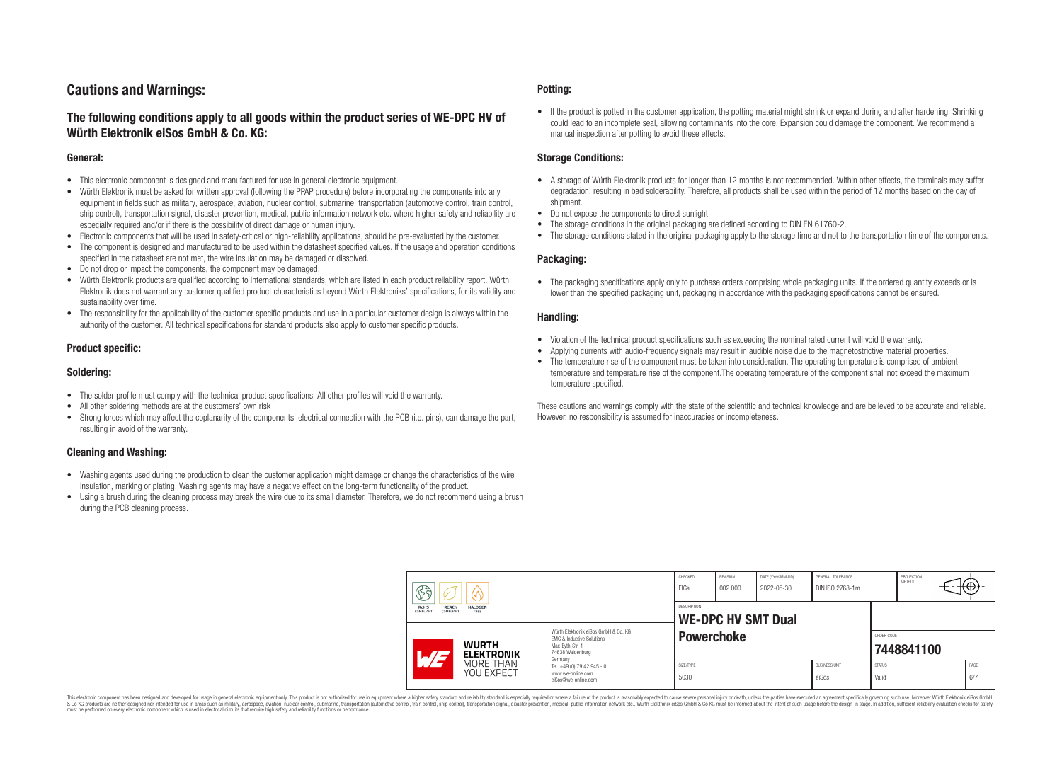# **Cautions and Warnings:**

## **The following conditions apply to all goods within the product series of WE-DPC HV of Würth Elektronik eiSos GmbH & Co. KG:**

#### **General:**

- This electronic component is designed and manufactured for use in general electronic equipment.
- Würth Elektronik must be asked for written approval (following the PPAP procedure) before incorporating the components into any equipment in fields such as military, aerospace, aviation, nuclear control, submarine, transportation (automotive control, train control, ship control), transportation signal, disaster prevention, medical, public information network etc. where higher safety and reliability are especially required and/or if there is the possibility of direct damage or human injury.
- Electronic components that will be used in safety-critical or high-reliability applications, should be pre-evaluated by the customer.
- The component is designed and manufactured to be used within the datasheet specified values. If the usage and operation conditions specified in the datasheet are not met, the wire insulation may be damaged or dissolved.
- Do not drop or impact the components, the component may be damaged.
- Würth Elektronik products are qualified according to international standards, which are listed in each product reliability report. Würth Elektronik does not warrant any customer qualified product characteristics beyond Würth Elektroniks' specifications, for its validity and sustainability over time.
- The responsibility for the applicability of the customer specific products and use in a particular customer design is always within the authority of the customer. All technical specifications for standard products also apply to customer specific products.

#### **Product specific:**

#### **Soldering:**

- The solder profile must comply with the technical product specifications. All other profiles will void the warranty.
- All other soldering methods are at the customers' own risk
- Strong forces which may affect the coplanarity of the components' electrical connection with the PCB (i.e. pins), can damage the part, resulting in avoid of the warranty.

#### **Cleaning and Washing:**

- Washing agents used during the production to clean the customer application might damage or change the characteristics of the wire insulation, marking or plating. Washing agents may have a negative effect on the long-term functionality of the product.
- Using a brush during the cleaning process may break the wire due to its small diameter. Therefore, we do not recommend using a brush during the PCB cleaning process.

#### **Potting:**

• If the product is potted in the customer application, the potting material might shrink or expand during and after hardening. Shrinking could lead to an incomplete seal, allowing contaminants into the core. Expansion could damage the component. We recommend a manual inspection after potting to avoid these effects.

#### **Storage Conditions:**

- A storage of Würth Elektronik products for longer than 12 months is not recommended. Within other effects, the terminals may suffer degradation, resulting in bad solderability. Therefore, all products shall be used within the period of 12 months based on the day of shipment.
- Do not expose the components to direct sunlight.
- The storage conditions in the original packaging are defined according to DIN EN 61760-2.
- The storage conditions stated in the original packaging apply to the storage time and not to the transportation time of the components.

#### **Packaging:**

• The packaging specifications apply only to purchase orders comprising whole packaging units. If the ordered quantity exceeds or is lower than the specified packaging unit, packaging in accordance with the packaging specifications cannot be ensured.

#### **Handling:**

- Violation of the technical product specifications such as exceeding the nominal rated current will void the warranty.
- Applying currents with audio-frequency signals may result in audible noise due to the magnetostrictive material properties.
- The temperature rise of the component must be taken into consideration. The operating temperature is comprised of ambient temperature and temperature rise of the component.The operating temperature of the component shall not exceed the maximum temperature specified.

These cautions and warnings comply with the state of the scientific and technical knowledge and are believed to be accurate and reliable. However, no responsibility is assumed for inaccuracies or incompleteness.

|                                                                          | 63<br>۱۸۱۰ -                                                                                                                                                    |                                          | CHECKED<br>ElGa                                                        | REVISION<br>002.000 | DATE (YYYY-MM-DD)<br>2022-05-30 | <b>GENERAL TOLERANCE</b><br>DIN ISO 2768-1m |                               | PROJECTION<br><b>METHOD</b> | ा∜⊕ |  |             |
|--------------------------------------------------------------------------|-----------------------------------------------------------------------------------------------------------------------------------------------------------------|------------------------------------------|------------------------------------------------------------------------|---------------------|---------------------------------|---------------------------------------------|-------------------------------|-----------------------------|-----|--|-------------|
| REACh<br><b>RoHS</b><br><b>HALOGEN</b><br>COMPLIANT<br>COMPLIANT<br>FREE |                                                                                                                                                                 | DESCRIPTION<br><b>WE-DPC HV SMT Dual</b> |                                                                        |                     |                                 |                                             |                               |                             |     |  |             |
|                                                                          | Würth Elektronik eiSos GmbH & Co. KG<br>EMC & Inductive Solutions<br><b>WURTH</b><br>Max-Eyth-Str. 1<br>74638 Waldenburg<br>$\overline{M}$<br><b>ELEKTRONIK</b> |                                          | Germany                                                                | <b>Powerchoke</b>   |                                 |                                             |                               | ORDER CODE<br>7448841100    |     |  |             |
|                                                                          |                                                                                                                                                                 | MORE THAN<br>YOU EXPECT                  | Tel. +49 (0) 79 42 945 - 0<br>www.we-online.com<br>eiSos@we-online.com | SIZE/TYPE<br>5030   |                                 |                                             | <b>BUSINESS UNIT</b><br>eiSos | <b>STATUS</b><br>Valid      |     |  | PAGE<br>6/7 |

This electronic component has been designed and developed for usage in general electronic equipment only. This product is not authorized for use in equipment where a higher safety standard and reliability standard si espec & Ook product a label and the membed of the seasuch as marked and as which such a membed and the such assume that income in the seasuch and the simulation and the such assume that include to the such a membed and the such